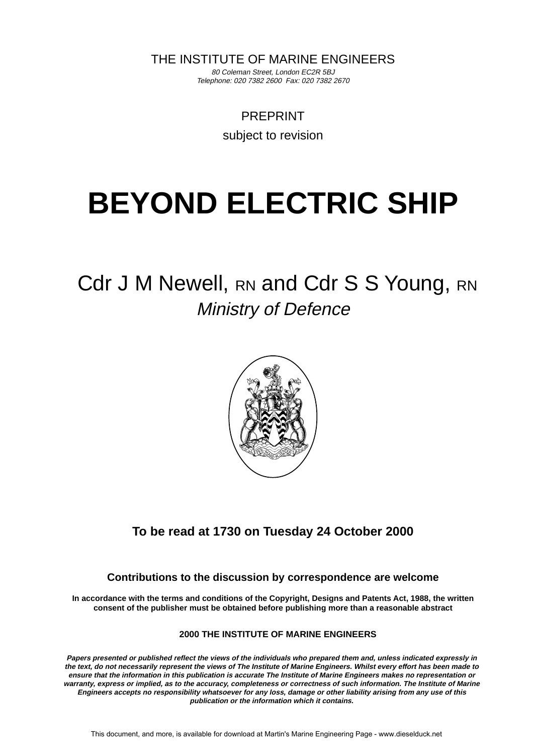THE INSTITUTE OF MARINE ENGINEERS

80 Coleman Street, London EC2R 5BJ Telephone: 020 7382 2600 Fax: 020 7382 2670

> PREPRINT subject to revision

# **BEYOND ELECTRIC SHIP**

# Cdr J M Newell, RN and Cdr S S Young, RN Ministry of Defence



# **To be read at 1730 on Tuesday 24 October 2000**

#### **Contributions to the discussion by correspondence are welcome**

**In accordance with the terms and conditions of the Copyright, Designs and Patents Act, 1988, the written consent of the publisher must be obtained before publishing more than a reasonable abstract**

#### **2000 THE INSTITUTE OF MARINE ENGINEERS**

**Papers presented or published reflect the views of the individuals who prepared them and, unless indicated expressly in the text, do not necessarily represent the views of The Institute of Marine Engineers. Whilst every effort has been made to ensure that the information in this publication is accurate The Institute of Marine Engineers makes no representation or warranty, express or implied, as to the accuracy, completeness or correctness of such information. The Institute of Marine Engineers accepts no responsibility whatsoever for any loss, damage or other liability arising from any use of this publication or the information which it contains.**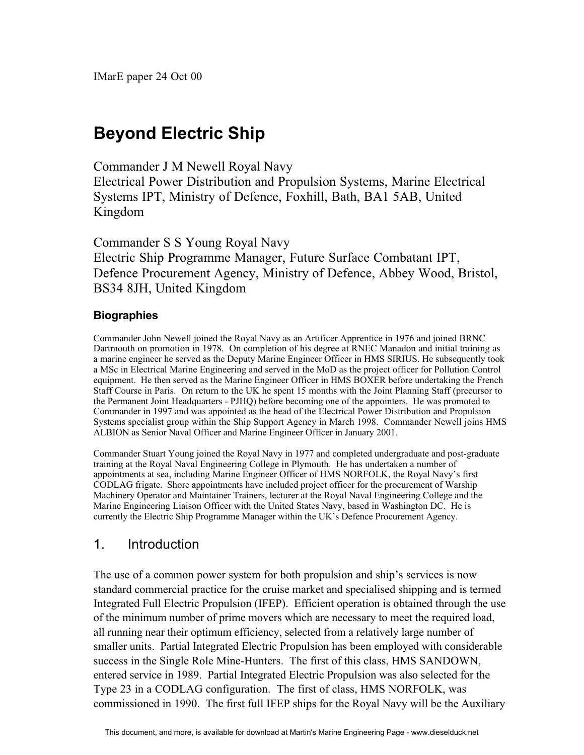# **Beyond Electric Ship**

Commander J M Newell Royal Navy

Electrical Power Distribution and Propulsion Systems, Marine Electrical Systems IPT, Ministry of Defence, Foxhill, Bath, BA1 5AB, United Kingdom

Commander S S Young Royal Navy

Electric Ship Programme Manager, Future Surface Combatant IPT, Defence Procurement Agency, Ministry of Defence, Abbey Wood, Bristol, BS34 8JH, United Kingdom

#### **Biographies**

Commander John Newell joined the Royal Navy as an Artificer Apprentice in 1976 and joined BRNC Dartmouth on promotion in 1978. On completion of his degree at RNEC Manadon and initial training as a marine engineer he served as the Deputy Marine Engineer Officer in HMS SIRIUS. He subsequently took a MSc in Electrical Marine Engineering and served in the MoD as the project officer for Pollution Control equipment. He then served as the Marine Engineer Officer in HMS BOXER before undertaking the French Staff Course in Paris. On return to the UK he spent 15 months with the Joint Planning Staff (precursor to the Permanent Joint Headquarters - PJHQ) before becoming one of the appointers. He was promoted to Commander in 1997 and was appointed as the head of the Electrical Power Distribution and Propulsion Systems specialist group within the Ship Support Agency in March 1998. Commander Newell joins HMS ALBION as Senior Naval Officer and Marine Engineer Officer in January 2001.

Commander Stuart Young joined the Royal Navy in 1977 and completed undergraduate and post-graduate training at the Royal Naval Engineering College in Plymouth. He has undertaken a number of appointments at sea, including Marine Engineer Officer of HMS NORFOLK, the Royal Navy's first CODLAG frigate. Shore appointments have included project officer for the procurement of Warship Machinery Operator and Maintainer Trainers, lecturer at the Royal Naval Engineering College and the Marine Engineering Liaison Officer with the United States Navy, based in Washington DC. He is currently the Electric Ship Programme Manager within the UK's Defence Procurement Agency.

## 1. Introduction

The use of a common power system for both propulsion and ship's services is now standard commercial practice for the cruise market and specialised shipping and is termed Integrated Full Electric Propulsion (IFEP). Efficient operation is obtained through the use of the minimum number of prime movers which are necessary to meet the required load, all running near their optimum efficiency, selected from a relatively large number of smaller units. Partial Integrated Electric Propulsion has been employed with considerable success in the Single Role Mine-Hunters. The first of this class, HMS SANDOWN, entered service in 1989. Partial Integrated Electric Propulsion was also selected for the Type 23 in a CODLAG configuration. The first of class, HMS NORFOLK, was commissioned in 1990. The first full IFEP ships for the Royal Navy will be the Auxiliary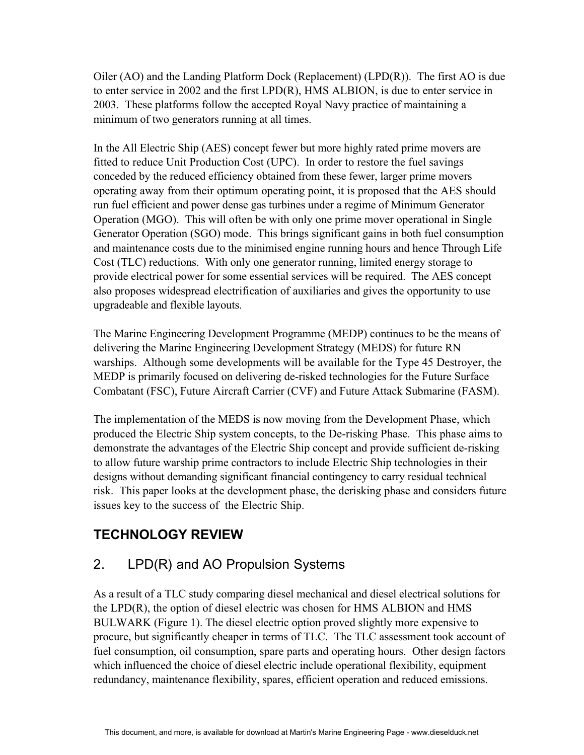Oiler (AO) and the Landing Platform Dock (Replacement) (LPD(R)). The first AO is due to enter service in 2002 and the first LPD(R), HMS ALBION, is due to enter service in 2003. These platforms follow the accepted Royal Navy practice of maintaining a minimum of two generators running at all times.

In the All Electric Ship (AES) concept fewer but more highly rated prime movers are fitted to reduce Unit Production Cost (UPC). In order to restore the fuel savings conceded by the reduced efficiency obtained from these fewer, larger prime movers operating away from their optimum operating point, it is proposed that the AES should run fuel efficient and power dense gas turbines under a regime of Minimum Generator Operation (MGO). This will often be with only one prime mover operational in Single Generator Operation (SGO) mode. This brings significant gains in both fuel consumption and maintenance costs due to the minimised engine running hours and hence Through Life Cost (TLC) reductions. With only one generator running, limited energy storage to provide electrical power for some essential services will be required. The AES concept also proposes widespread electrification of auxiliaries and gives the opportunity to use upgradeable and flexible layouts.

The Marine Engineering Development Programme (MEDP) continues to be the means of delivering the Marine Engineering Development Strategy (MEDS) for future RN warships. Although some developments will be available for the Type 45 Destroyer, the MEDP is primarily focused on delivering de-risked technologies for the Future Surface Combatant (FSC), Future Aircraft Carrier (CVF) and Future Attack Submarine (FASM).

The implementation of the MEDS is now moving from the Development Phase, which produced the Electric Ship system concepts, to the De-risking Phase. This phase aims to demonstrate the advantages of the Electric Ship concept and provide sufficient de-risking to allow future warship prime contractors to include Electric Ship technologies in their designs without demanding significant financial contingency to carry residual technical risk. This paper looks at the development phase, the derisking phase and considers future issues key to the success of the Electric Ship.

# **TECHNOLOGY REVIEW**

# 2. LPD(R) and AO Propulsion Systems

As a result of a TLC study comparing diesel mechanical and diesel electrical solutions for the LPD(R), the option of diesel electric was chosen for HMS ALBION and HMS BULWARK (Figure 1). The diesel electric option proved slightly more expensive to procure, but significantly cheaper in terms of TLC. The TLC assessment took account of fuel consumption, oil consumption, spare parts and operating hours. Other design factors which influenced the choice of diesel electric include operational flexibility, equipment redundancy, maintenance flexibility, spares, efficient operation and reduced emissions.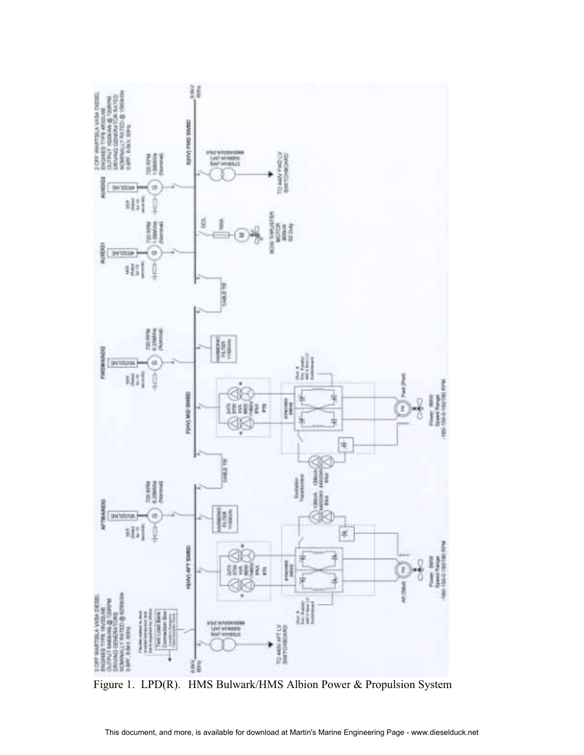

Figure 1. LPD(R). HMS Bulwark/HMS Albion Power & Propulsion System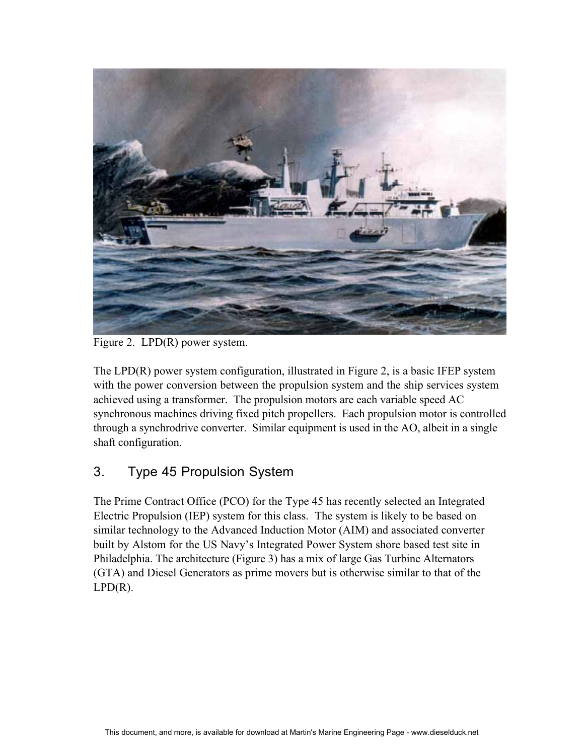

Figure 2. LPD(R) power system.

The LPD(R) power system configuration, illustrated in Figure 2, is a basic IFEP system with the power conversion between the propulsion system and the ship services system achieved using a transformer. The propulsion motors are each variable speed AC synchronous machines driving fixed pitch propellers. Each propulsion motor is controlled through a synchrodrive converter. Similar equipment is used in the AO, albeit in a single shaft configuration.

# 3. Type 45 Propulsion System

The Prime Contract Office (PCO) for the Type 45 has recently selected an Integrated Electric Propulsion (IEP) system for this class. The system is likely to be based on similar technology to the Advanced Induction Motor (AIM) and associated converter built by Alstom for the US Navy's Integrated Power System shore based test site in Philadelphia. The architecture (Figure 3) has a mix of large Gas Turbine Alternators (GTA) and Diesel Generators as prime movers but is otherwise similar to that of the  $LPD(R)$ .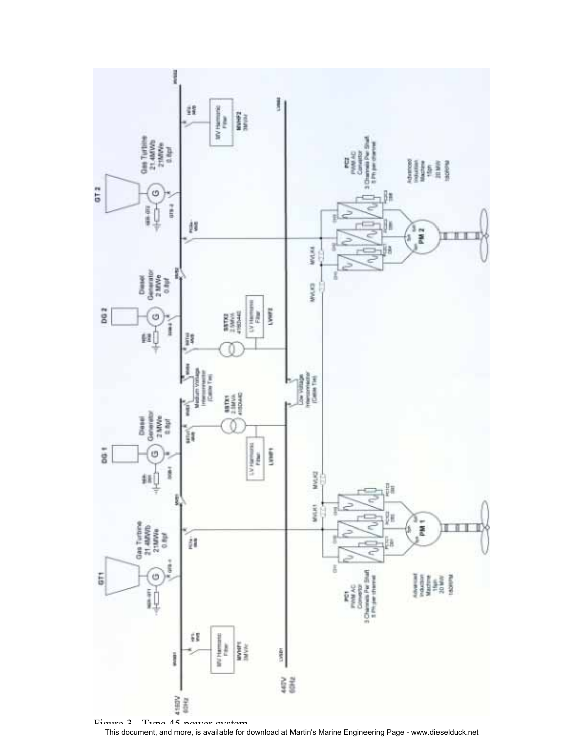



This document, and more, is available for download at Martin's Marine Engineering Page - www.dieselduck.net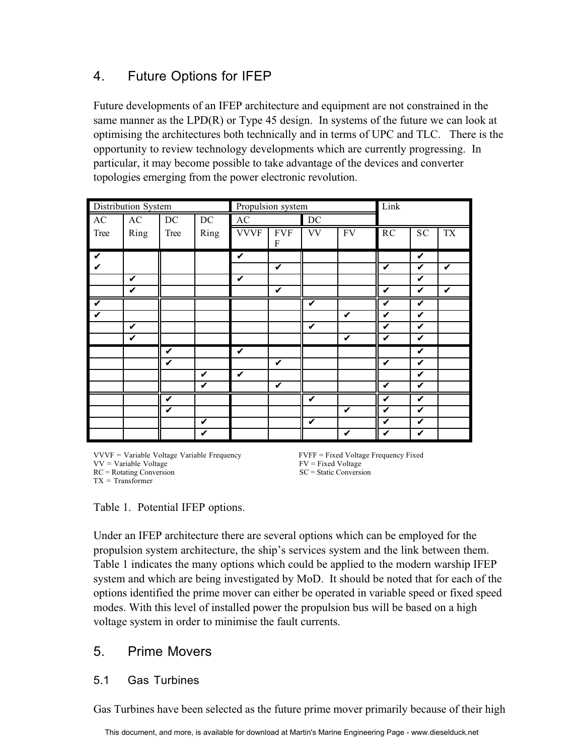# 4. Future Options for IFEP

Future developments of an IFEP architecture and equipment are not constrained in the same manner as the LPD(R) or Type 45 design. In systems of the future we can look at optimising the architectures both technically and in terms of UPC and TLC. There is the opportunity to review technology developments which are currently progressing. In particular, it may become possible to take advantage of the devices and converter topologies emerging from the power electronic revolution.

| Distribution System     |                    |                         |      | Propulsion system    |                      |              |    | Link                    |                         |    |  |
|-------------------------|--------------------|-------------------------|------|----------------------|----------------------|--------------|----|-------------------------|-------------------------|----|--|
| AC                      | AC                 | DC                      | DC   | AC                   |                      | DC           |    |                         |                         |    |  |
| Tree                    | Ring               | Tree                    | Ring | <b>VVVF</b>          | <b>FVF</b>           | <b>VV</b>    | FV | RC                      | <b>SC</b>               | TX |  |
|                         |                    |                         |      |                      | F                    |              |    |                         |                         |    |  |
| $\overline{\mathbf{v}}$ |                    |                         |      | V                    |                      |              |    |                         | V                       |    |  |
| V                       |                    |                         |      |                      | $\checkmark$         |              |    | $\checkmark$            | V                       | V  |  |
|                         | V                  |                         |      | V                    |                      |              |    |                         | V                       |    |  |
|                         | V                  |                         |      |                      | V                    |              |    | V                       | V                       | V  |  |
| V                       |                    |                         |      |                      |                      | V            |    | V                       | V                       |    |  |
| V                       |                    |                         |      |                      |                      |              | V  | V                       | V                       |    |  |
|                         | $\boldsymbol{\nu}$ |                         |      |                      |                      | $\checkmark$ |    | V                       | V                       |    |  |
|                         | V                  |                         |      |                      |                      |              | V  | V                       | V                       |    |  |
|                         |                    | V                       |      | $\blacktriangledown$ |                      |              |    |                         | V                       |    |  |
|                         |                    | V                       |      |                      | V                    |              |    | V                       | V                       |    |  |
|                         |                    |                         | V    | V                    |                      |              |    |                         | V                       |    |  |
|                         |                    |                         | V    |                      | $\blacktriangledown$ |              |    | $\blacktriangledown$    | V                       |    |  |
|                         |                    | $\mathbf v$             |      |                      |                      | V            |    | V                       | $\overline{\mathbf{v}}$ |    |  |
|                         |                    | $\overline{\mathbf{v}}$ |      |                      |                      |              | V  | $\overline{\mathbf{v}}$ | V                       |    |  |
|                         |                    |                         | V    |                      |                      | V            |    | V                       | V                       |    |  |
|                         |                    |                         | V    |                      |                      |              | V  | V                       | V                       |    |  |

VVVF = Variable Voltage Variable Frequency  $V = V = V$ Fixed Voltage Frequency Fixed VV = Variable Voltage Voltage  $VV =$  Variable Voltage RC = Rotating Conversion SC = Static Conversion TX = Transformer

Table 1. Potential IFEP options.

Under an IFEP architecture there are several options which can be employed for the propulsion system architecture, the ship's services system and the link between them. Table 1 indicates the many options which could be applied to the modern warship IFEP system and which are being investigated by MoD. It should be noted that for each of the options identified the prime mover can either be operated in variable speed or fixed speed modes. With this level of installed power the propulsion bus will be based on a high voltage system in order to minimise the fault currents.

# 5. Prime Movers

## 5.1 Gas Turbines

Gas Turbines have been selected as the future prime mover primarily because of their high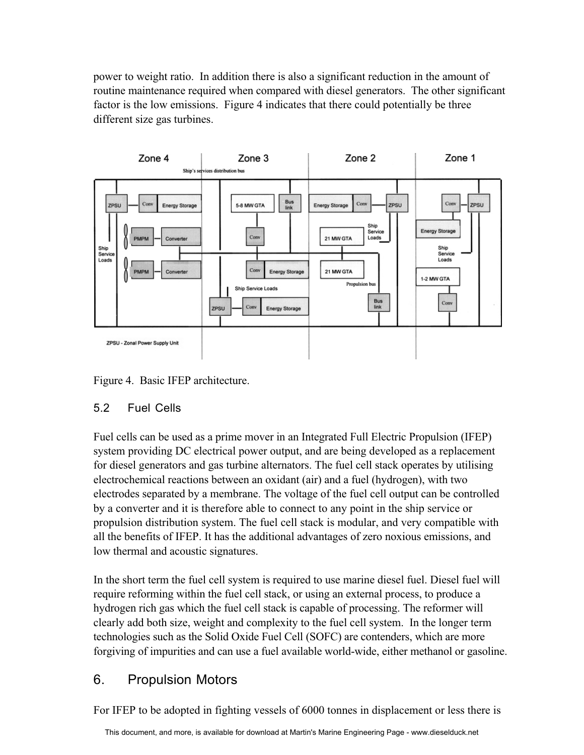power to weight ratio. In addition there is also a significant reduction in the amount of routine maintenance required when compared with diesel generators. The other significant factor is the low emissions. Figure 4 indicates that there could potentially be three different size gas turbines.



Figure 4. Basic IFEP architecture.

#### 5.2 Fuel Cells

Fuel cells can be used as a prime mover in an Integrated Full Electric Propulsion (IFEP) system providing DC electrical power output, and are being developed as a replacement for diesel generators and gas turbine alternators. The fuel cell stack operates by utilising electrochemical reactions between an oxidant (air) and a fuel (hydrogen), with two electrodes separated by a membrane. The voltage of the fuel cell output can be controlled by a converter and it is therefore able to connect to any point in the ship service or propulsion distribution system. The fuel cell stack is modular, and very compatible with all the benefits of IFEP. It has the additional advantages of zero noxious emissions, and low thermal and acoustic signatures.

In the short term the fuel cell system is required to use marine diesel fuel. Diesel fuel will require reforming within the fuel cell stack, or using an external process, to produce a hydrogen rich gas which the fuel cell stack is capable of processing. The reformer will clearly add both size, weight and complexity to the fuel cell system. In the longer term technologies such as the Solid Oxide Fuel Cell (SOFC) are contenders, which are more forgiving of impurities and can use a fuel available world-wide, either methanol or gasoline.

# 6. Propulsion Motors

For IFEP to be adopted in fighting vessels of 6000 tonnes in displacement or less there is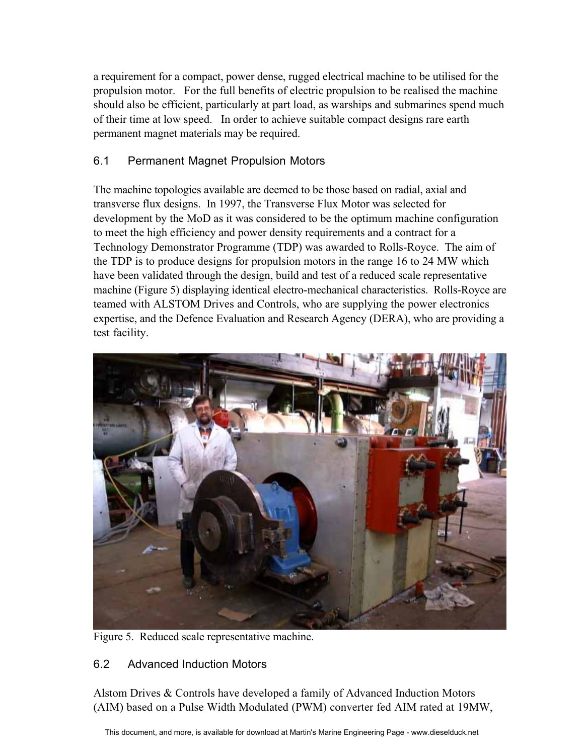a requirement for a compact, power dense, rugged electrical machine to be utilised for the propulsion motor. For the full benefits of electric propulsion to be realised the machine should also be efficient, particularly at part load, as warships and submarines spend much of their time at low speed. In order to achieve suitable compact designs rare earth permanent magnet materials may be required.

# 6.1 Permanent Magnet Propulsion Motors

The machine topologies available are deemed to be those based on radial, axial and transverse flux designs. In 1997, the Transverse Flux Motor was selected for development by the MoD as it was considered to be the optimum machine configuration to meet the high efficiency and power density requirements and a contract for a Technology Demonstrator Programme (TDP) was awarded to Rolls-Royce. The aim of the TDP is to produce designs for propulsion motors in the range 16 to 24 MW which have been validated through the design, build and test of a reduced scale representative machine (Figure 5) displaying identical electro-mechanical characteristics. Rolls-Royce are teamed with ALSTOM Drives and Controls, who are supplying the power electronics expertise, and the Defence Evaluation and Research Agency (DERA), who are providing a test facility.



Figure 5. Reduced scale representative machine.

# 6.2 Advanced Induction Motors

Alstom Drives & Controls have developed a family of Advanced Induction Motors (AIM) based on a Pulse Width Modulated (PWM) converter fed AIM rated at 19MW,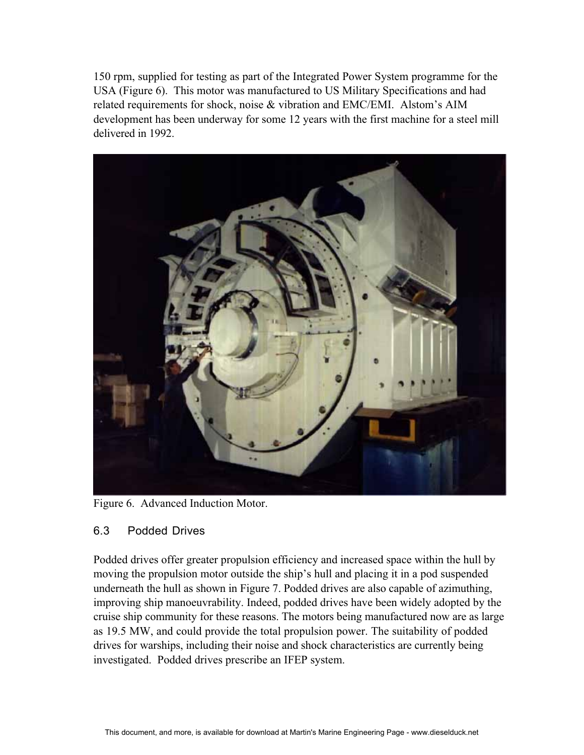150 rpm, supplied for testing as part of the Integrated Power System programme for the USA (Figure 6). This motor was manufactured to US Military Specifications and had related requirements for shock, noise & vibration and EMC/EMI. Alstom's AIM development has been underway for some 12 years with the first machine for a steel mill delivered in 1992.



Figure 6. Advanced Induction Motor.

#### 6.3 Podded Drives

Podded drives offer greater propulsion efficiency and increased space within the hull by moving the propulsion motor outside the ship's hull and placing it in a pod suspended underneath the hull as shown in Figure 7. Podded drives are also capable of azimuthing, improving ship manoeuvrability. Indeed, podded drives have been widely adopted by the cruise ship community for these reasons. The motors being manufactured now are as large as 19.5 MW, and could provide the total propulsion power. The suitability of podded drives for warships, including their noise and shock characteristics are currently being investigated. Podded drives prescribe an IFEP system.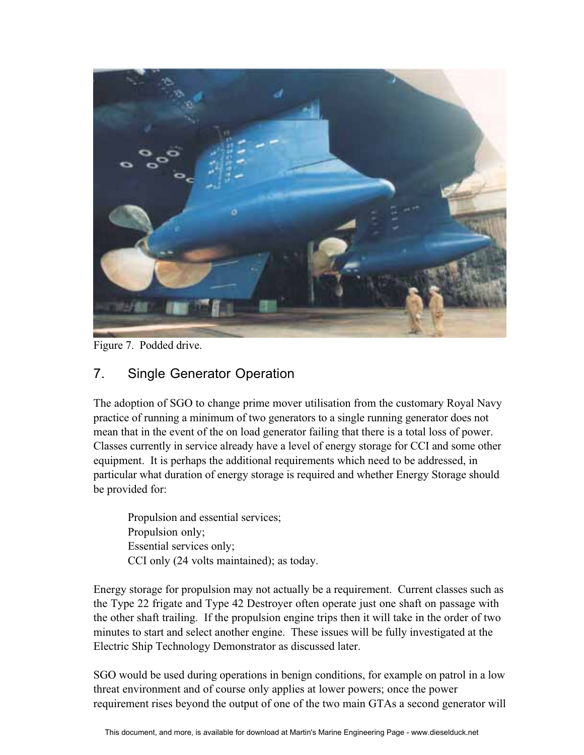

Figure 7. Podded drive.

# 7. Single Generator Operation

The adoption of SGO to change prime mover utilisation from the customary Royal Navy practice of running a minimum of two generators to a single running generator does not mean that in the event of the on load generator failing that there is a total loss of power. Classes currently in service already have a level of energy storage for CCI and some other equipment. It is perhaps the additional requirements which need to be addressed, in particular what duration of energy storage is required and whether Energy Storage should be provided for:

Propulsion and essential services; Propulsion only; Essential services only; CCI only (24 volts maintained); as today.

Energy storage for propulsion may not actually be a requirement. Current classes such as the Type 22 frigate and Type 42 Destroyer often operate just one shaft on passage with the other shaft trailing. If the propulsion engine trips then it will take in the order of two minutes to start and select another engine. These issues will be fully investigated at the Electric Ship Technology Demonstrator as discussed later.

SGO would be used during operations in benign conditions, for example on patrol in a low threat environment and of course only applies at lower powers; once the power requirement rises beyond the output of one of the two main GTAs a second generator will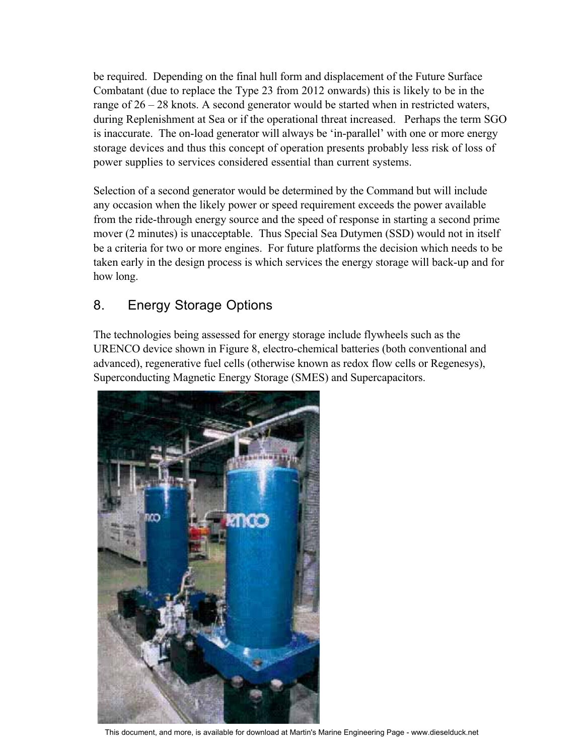be required. Depending on the final hull form and displacement of the Future Surface Combatant (due to replace the Type 23 from 2012 onwards) this is likely to be in the range of 26 – 28 knots. A second generator would be started when in restricted waters, during Replenishment at Sea or if the operational threat increased. Perhaps the term SGO is inaccurate. The on-load generator will always be 'in-parallel' with one or more energy storage devices and thus this concept of operation presents probably less risk of loss of power supplies to services considered essential than current systems.

Selection of a second generator would be determined by the Command but will include any occasion when the likely power or speed requirement exceeds the power available from the ride-through energy source and the speed of response in starting a second prime mover (2 minutes) is unacceptable. Thus Special Sea Dutymen (SSD) would not in itself be a criteria for two or more engines. For future platforms the decision which needs to be taken early in the design process is which services the energy storage will back-up and for how long.

# 8. Energy Storage Options

The technologies being assessed for energy storage include flywheels such as the URENCO device shown in Figure 8, electro-chemical batteries (both conventional and advanced), regenerative fuel cells (otherwise known as redox flow cells or Regenesys), Superconducting Magnetic Energy Storage (SMES) and Supercapacitors.



This document, and more, is available for download at Martin's Marine Engineering Page - www.dieselduck.net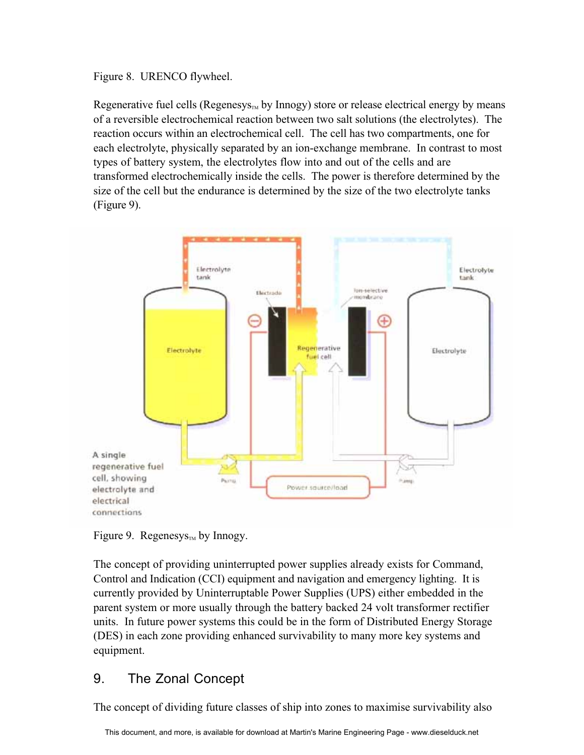Figure 8. URENCO flywheel.

Regenerative fuel cells (Regenesys<sub>IM</sub> by Innogy) store or release electrical energy by means of a reversible electrochemical reaction between two salt solutions (the electrolytes). The reaction occurs within an electrochemical cell. The cell has two compartments, one for each electrolyte, physically separated by an ion-exchange membrane. In contrast to most types of battery system, the electrolytes flow into and out of the cells and are transformed electrochemically inside the cells. The power is therefore determined by the size of the cell but the endurance is determined by the size of the two electrolyte tanks (Figure 9).



Figure 9. Regenesys $_{TM}$  by Innogy.

The concept of providing uninterrupted power supplies already exists for Command, Control and Indication (CCI) equipment and navigation and emergency lighting. It is currently provided by Uninterruptable Power Supplies (UPS) either embedded in the parent system or more usually through the battery backed 24 volt transformer rectifier units. In future power systems this could be in the form of Distributed Energy Storage (DES) in each zone providing enhanced survivability to many more key systems and equipment.

# 9. The Zonal Concept

The concept of dividing future classes of ship into zones to maximise survivability also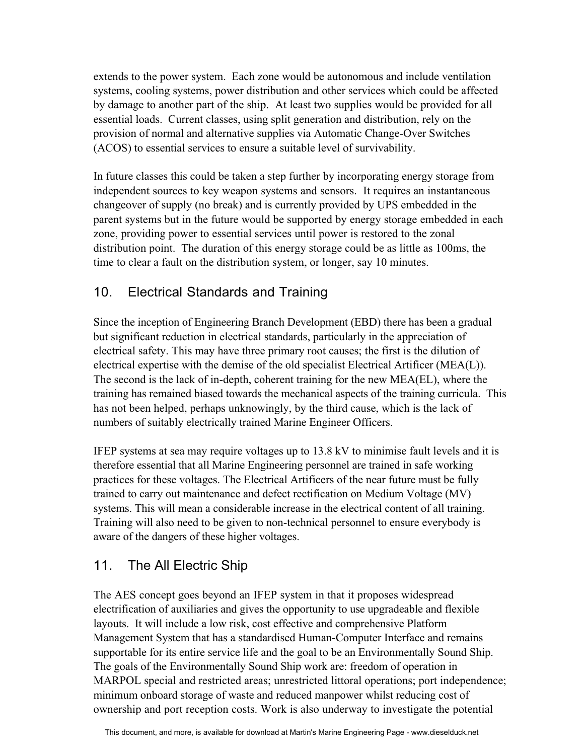extends to the power system. Each zone would be autonomous and include ventilation systems, cooling systems, power distribution and other services which could be affected by damage to another part of the ship. At least two supplies would be provided for all essential loads. Current classes, using split generation and distribution, rely on the provision of normal and alternative supplies via Automatic Change-Over Switches (ACOS) to essential services to ensure a suitable level of survivability.

In future classes this could be taken a step further by incorporating energy storage from independent sources to key weapon systems and sensors. It requires an instantaneous changeover of supply (no break) and is currently provided by UPS embedded in the parent systems but in the future would be supported by energy storage embedded in each zone, providing power to essential services until power is restored to the zonal distribution point. The duration of this energy storage could be as little as 100ms, the time to clear a fault on the distribution system, or longer, say 10 minutes.

# 10. Electrical Standards and Training

Since the inception of Engineering Branch Development (EBD) there has been a gradual but significant reduction in electrical standards, particularly in the appreciation of electrical safety. This may have three primary root causes; the first is the dilution of electrical expertise with the demise of the old specialist Electrical Artificer (MEA(L)). The second is the lack of in-depth, coherent training for the new MEA(EL), where the training has remained biased towards the mechanical aspects of the training curricula. This has not been helped, perhaps unknowingly, by the third cause, which is the lack of numbers of suitably electrically trained Marine Engineer Officers.

IFEP systems at sea may require voltages up to 13.8 kV to minimise fault levels and it is therefore essential that all Marine Engineering personnel are trained in safe working practices for these voltages. The Electrical Artificers of the near future must be fully trained to carry out maintenance and defect rectification on Medium Voltage (MV) systems. This will mean a considerable increase in the electrical content of all training. Training will also need to be given to non-technical personnel to ensure everybody is aware of the dangers of these higher voltages.

# 11. The All Electric Ship

The AES concept goes beyond an IFEP system in that it proposes widespread electrification of auxiliaries and gives the opportunity to use upgradeable and flexible layouts. It will include a low risk, cost effective and comprehensive Platform Management System that has a standardised Human-Computer Interface and remains supportable for its entire service life and the goal to be an Environmentally Sound Ship. The goals of the Environmentally Sound Ship work are: freedom of operation in MARPOL special and restricted areas; unrestricted littoral operations; port independence; minimum onboard storage of waste and reduced manpower whilst reducing cost of ownership and port reception costs. Work is also underway to investigate the potential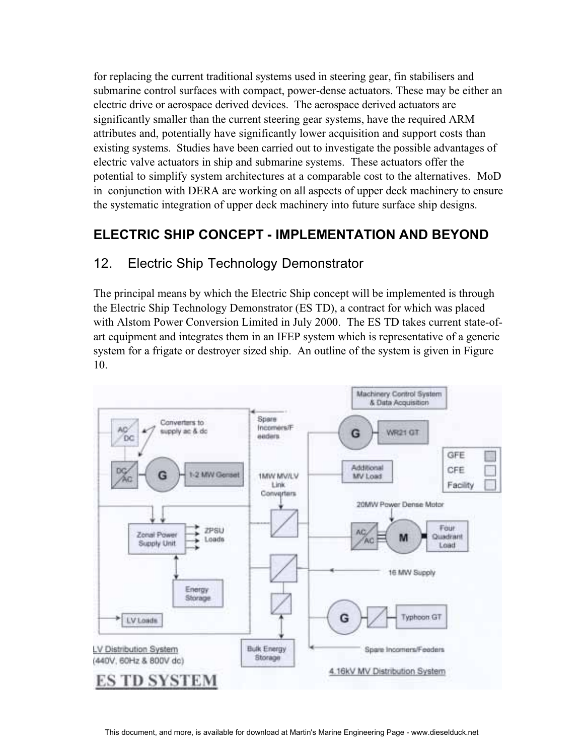for replacing the current traditional systems used in steering gear, fin stabilisers and submarine control surfaces with compact, power-dense actuators. These may be either an electric drive or aerospace derived devices. The aerospace derived actuators are significantly smaller than the current steering gear systems, have the required ARM attributes and, potentially have significantly lower acquisition and support costs than existing systems. Studies have been carried out to investigate the possible advantages of electric valve actuators in ship and submarine systems. These actuators offer the potential to simplify system architectures at a comparable cost to the alternatives. MoD in conjunction with DERA are working on all aspects of upper deck machinery to ensure the systematic integration of upper deck machinery into future surface ship designs.

# **ELECTRIC SHIP CONCEPT - IMPLEMENTATION AND BEYOND**

# 12. Electric Ship Technology Demonstrator

The principal means by which the Electric Ship concept will be implemented is through the Electric Ship Technology Demonstrator (ES TD), a contract for which was placed with Alstom Power Conversion Limited in July 2000. The ES TD takes current state-ofart equipment and integrates them in an IFEP system which is representative of a generic system for a frigate or destroyer sized ship. An outline of the system is given in Figure 10.

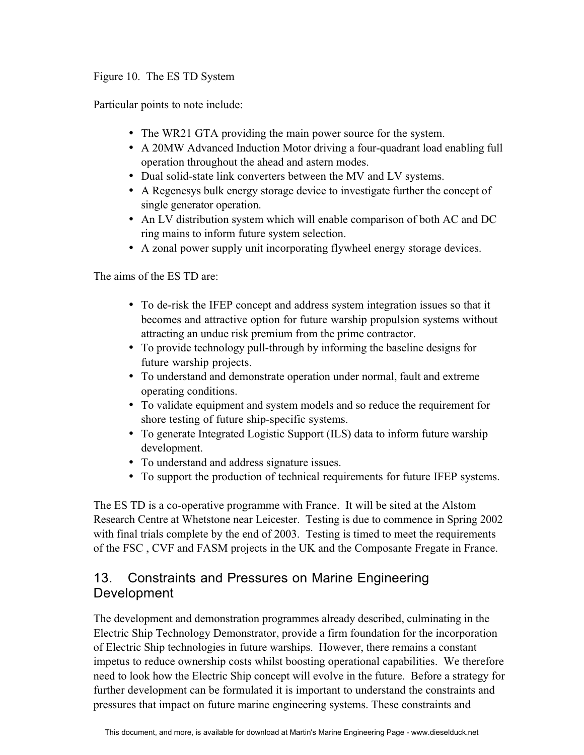#### Figure 10. The ES TD System

Particular points to note include:

- The WR21 GTA providing the main power source for the system.
- A 20MW Advanced Induction Motor driving a four-quadrant load enabling full operation throughout the ahead and astern modes.
- Dual solid-state link converters between the MV and LV systems.
- A Regenesys bulk energy storage device to investigate further the concept of single generator operation.
- An LV distribution system which will enable comparison of both AC and DC ring mains to inform future system selection.
- A zonal power supply unit incorporating flywheel energy storage devices.

The aims of the ES TD are:

- To de-risk the IFEP concept and address system integration issues so that it becomes and attractive option for future warship propulsion systems without attracting an undue risk premium from the prime contractor.
- To provide technology pull-through by informing the baseline designs for future warship projects.
- To understand and demonstrate operation under normal, fault and extreme operating conditions.
- To validate equipment and system models and so reduce the requirement for shore testing of future ship-specific systems.
- To generate Integrated Logistic Support (ILS) data to inform future warship development.
- To understand and address signature issues.
- To support the production of technical requirements for future IFEP systems.

The ES TD is a co-operative programme with France. It will be sited at the Alstom Research Centre at Whetstone near Leicester. Testing is due to commence in Spring 2002 with final trials complete by the end of 2003. Testing is timed to meet the requirements of the FSC , CVF and FASM projects in the UK and the Composante Fregate in France.

# 13. Constraints and Pressures on Marine Engineering Development

The development and demonstration programmes already described, culminating in the Electric Ship Technology Demonstrator, provide a firm foundation for the incorporation of Electric Ship technologies in future warships. However, there remains a constant impetus to reduce ownership costs whilst boosting operational capabilities. We therefore need to look how the Electric Ship concept will evolve in the future. Before a strategy for further development can be formulated it is important to understand the constraints and pressures that impact on future marine engineering systems. These constraints and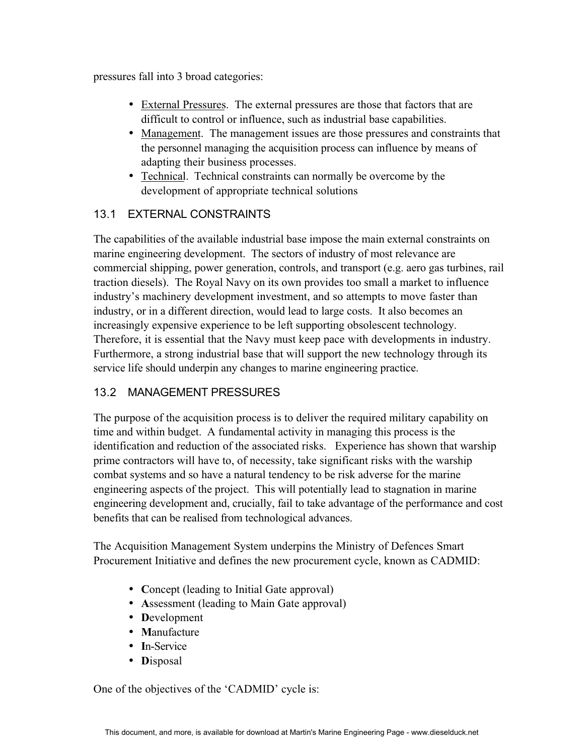pressures fall into 3 broad categories:

- External Pressures. The external pressures are those that factors that are difficult to control or influence, such as industrial base capabilities.
- Management. The management issues are those pressures and constraints that the personnel managing the acquisition process can influence by means of adapting their business processes.
- Technical. Technical constraints can normally be overcome by the development of appropriate technical solutions

#### 13.1 EXTERNAL CONSTRAINTS

The capabilities of the available industrial base impose the main external constraints on marine engineering development. The sectors of industry of most relevance are commercial shipping, power generation, controls, and transport (e.g. aero gas turbines, rail traction diesels). The Royal Navy on its own provides too small a market to influence industry's machinery development investment, and so attempts to move faster than industry, or in a different direction, would lead to large costs. It also becomes an increasingly expensive experience to be left supporting obsolescent technology. Therefore, it is essential that the Navy must keep pace with developments in industry. Furthermore, a strong industrial base that will support the new technology through its service life should underpin any changes to marine engineering practice.

#### 13.2 MANAGEMENT PRESSURES

The purpose of the acquisition process is to deliver the required military capability on time and within budget. A fundamental activity in managing this process is the identification and reduction of the associated risks. Experience has shown that warship prime contractors will have to, of necessity, take significant risks with the warship combat systems and so have a natural tendency to be risk adverse for the marine engineering aspects of the project. This will potentially lead to stagnation in marine engineering development and, crucially, fail to take advantage of the performance and cost benefits that can be realised from technological advances.

The Acquisition Management System underpins the Ministry of Defences Smart Procurement Initiative and defines the new procurement cycle, known as CADMID:

- Concept (leading to Initial Gate approval)
- **A**ssessment (leading to Main Gate approval)
- **D**evelopment
- **M**anufacture
- **I**n-Service
- **D**isposal

One of the objectives of the 'CADMID' cycle is: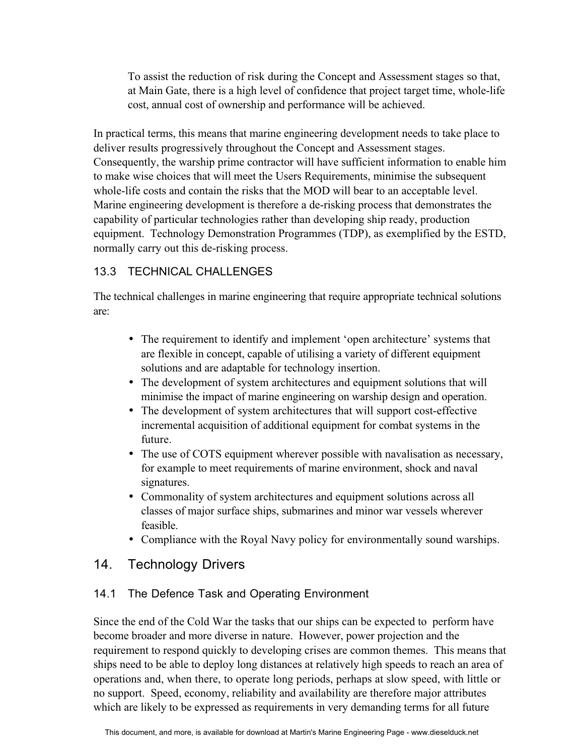To assist the reduction of risk during the Concept and Assessment stages so that, at Main Gate, there is a high level of confidence that project target time, whole-life cost, annual cost of ownership and performance will be achieved.

In practical terms, this means that marine engineering development needs to take place to deliver results progressively throughout the Concept and Assessment stages. Consequently, the warship prime contractor will have sufficient information to enable him to make wise choices that will meet the Users Requirements, minimise the subsequent whole-life costs and contain the risks that the MOD will bear to an acceptable level. Marine engineering development is therefore a de-risking process that demonstrates the capability of particular technologies rather than developing ship ready, production equipment. Technology Demonstration Programmes (TDP), as exemplified by the ESTD, normally carry out this de-risking process.

#### 13.3 TECHNICAL CHALLENGES

The technical challenges in marine engineering that require appropriate technical solutions are:

- The requirement to identify and implement 'open architecture' systems that are flexible in concept, capable of utilising a variety of different equipment solutions and are adaptable for technology insertion.
- The development of system architectures and equipment solutions that will minimise the impact of marine engineering on warship design and operation.
- The development of system architectures that will support cost-effective incremental acquisition of additional equipment for combat systems in the future.
- The use of COTS equipment wherever possible with navalisation as necessary, for example to meet requirements of marine environment, shock and naval signatures.
- Commonality of system architectures and equipment solutions across all classes of major surface ships, submarines and minor war vessels wherever feasible.
- Compliance with the Royal Navy policy for environmentally sound warships.

## 14. Technology Drivers

#### 14.1 The Defence Task and Operating Environment

Since the end of the Cold War the tasks that our ships can be expected to perform have become broader and more diverse in nature. However, power projection and the requirement to respond quickly to developing crises are common themes. This means that ships need to be able to deploy long distances at relatively high speeds to reach an area of operations and, when there, to operate long periods, perhaps at slow speed, with little or no support. Speed, economy, reliability and availability are therefore major attributes which are likely to be expressed as requirements in very demanding terms for all future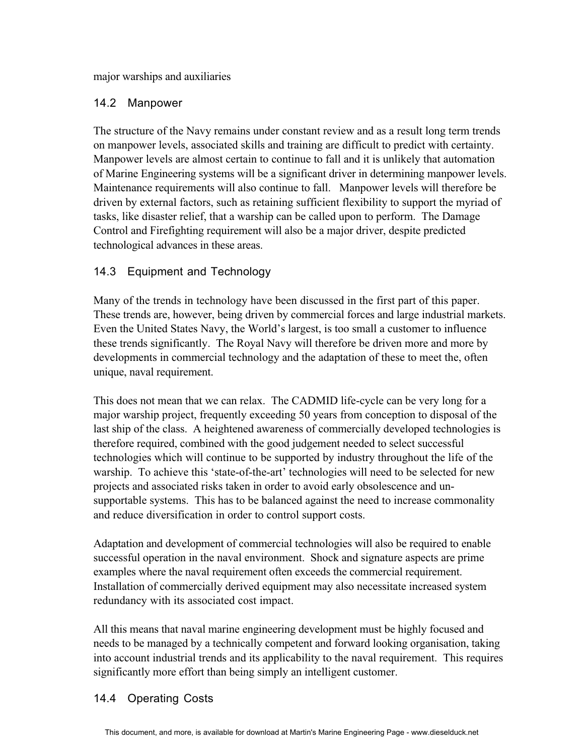major warships and auxiliaries

#### 14.2 Manpower

The structure of the Navy remains under constant review and as a result long term trends on manpower levels, associated skills and training are difficult to predict with certainty. Manpower levels are almost certain to continue to fall and it is unlikely that automation of Marine Engineering systems will be a significant driver in determining manpower levels. Maintenance requirements will also continue to fall. Manpower levels will therefore be driven by external factors, such as retaining sufficient flexibility to support the myriad of tasks, like disaster relief, that a warship can be called upon to perform. The Damage Control and Firefighting requirement will also be a major driver, despite predicted technological advances in these areas.

#### 14.3 Equipment and Technology

Many of the trends in technology have been discussed in the first part of this paper. These trends are, however, being driven by commercial forces and large industrial markets. Even the United States Navy, the World's largest, is too small a customer to influence these trends significantly. The Royal Navy will therefore be driven more and more by developments in commercial technology and the adaptation of these to meet the, often unique, naval requirement.

This does not mean that we can relax. The CADMID life-cycle can be very long for a major warship project, frequently exceeding 50 years from conception to disposal of the last ship of the class. A heightened awareness of commercially developed technologies is therefore required, combined with the good judgement needed to select successful technologies which will continue to be supported by industry throughout the life of the warship. To achieve this 'state-of-the-art' technologies will need to be selected for new projects and associated risks taken in order to avoid early obsolescence and unsupportable systems. This has to be balanced against the need to increase commonality and reduce diversification in order to control support costs.

Adaptation and development of commercial technologies will also be required to enable successful operation in the naval environment. Shock and signature aspects are prime examples where the naval requirement often exceeds the commercial requirement. Installation of commercially derived equipment may also necessitate increased system redundancy with its associated cost impact.

All this means that naval marine engineering development must be highly focused and needs to be managed by a technically competent and forward looking organisation, taking into account industrial trends and its applicability to the naval requirement. This requires significantly more effort than being simply an intelligent customer.

#### 14.4 Operating Costs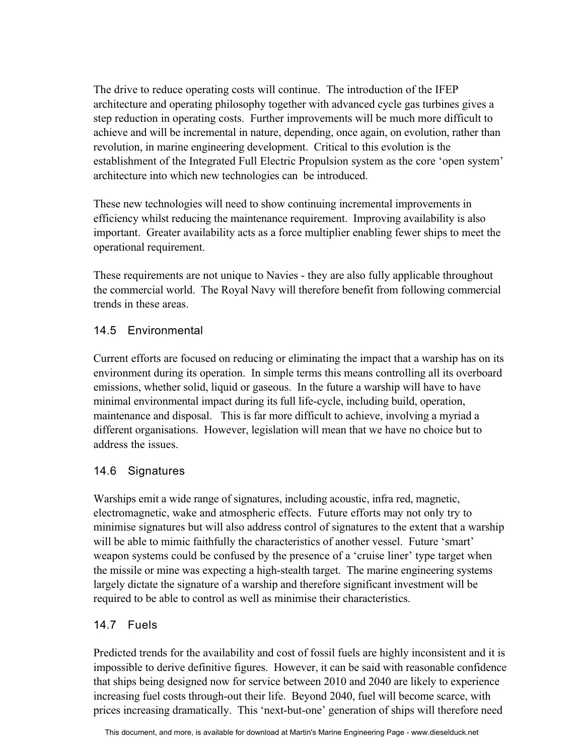The drive to reduce operating costs will continue. The introduction of the IFEP architecture and operating philosophy together with advanced cycle gas turbines gives a step reduction in operating costs. Further improvements will be much more difficult to achieve and will be incremental in nature, depending, once again, on evolution, rather than revolution, in marine engineering development. Critical to this evolution is the establishment of the Integrated Full Electric Propulsion system as the core 'open system' architecture into which new technologies can be introduced.

These new technologies will need to show continuing incremental improvements in efficiency whilst reducing the maintenance requirement. Improving availability is also important. Greater availability acts as a force multiplier enabling fewer ships to meet the operational requirement.

These requirements are not unique to Navies - they are also fully applicable throughout the commercial world. The Royal Navy will therefore benefit from following commercial trends in these areas.

#### 14.5 Environmental

Current efforts are focused on reducing or eliminating the impact that a warship has on its environment during its operation. In simple terms this means controlling all its overboard emissions, whether solid, liquid or gaseous. In the future a warship will have to have minimal environmental impact during its full life-cycle, including build, operation, maintenance and disposal. This is far more difficult to achieve, involving a myriad a different organisations. However, legislation will mean that we have no choice but to address the issues.

#### 14.6 Signatures

Warships emit a wide range of signatures, including acoustic, infra red, magnetic, electromagnetic, wake and atmospheric effects. Future efforts may not only try to minimise signatures but will also address control of signatures to the extent that a warship will be able to mimic faithfully the characteristics of another vessel. Future 'smart' weapon systems could be confused by the presence of a 'cruise liner' type target when the missile or mine was expecting a high-stealth target. The marine engineering systems largely dictate the signature of a warship and therefore significant investment will be required to be able to control as well as minimise their characteristics.

#### 14.7 Fuels

Predicted trends for the availability and cost of fossil fuels are highly inconsistent and it is impossible to derive definitive figures. However, it can be said with reasonable confidence that ships being designed now for service between 2010 and 2040 are likely to experience increasing fuel costs through-out their life. Beyond 2040, fuel will become scarce, with prices increasing dramatically. This 'next-but-one' generation of ships will therefore need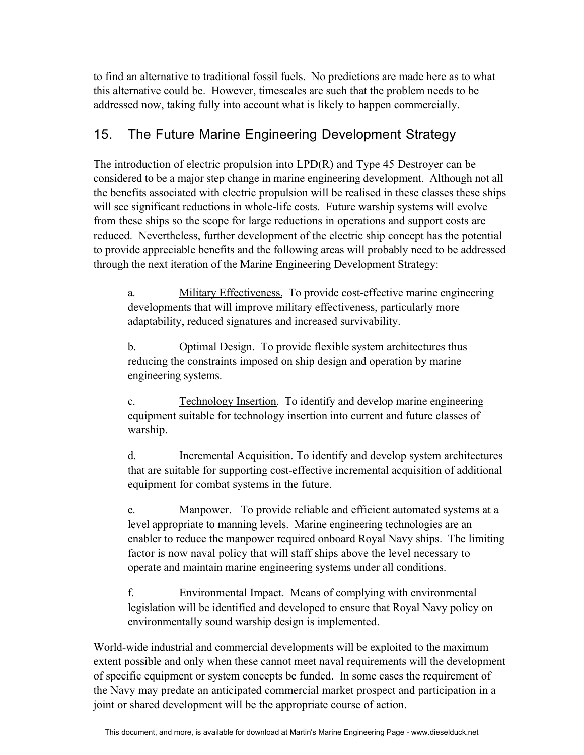to find an alternative to traditional fossil fuels. No predictions are made here as to what this alternative could be. However, timescales are such that the problem needs to be addressed now, taking fully into account what is likely to happen commercially.

# 15. The Future Marine Engineering Development Strategy

The introduction of electric propulsion into LPD(R) and Type 45 Destroyer can be considered to be a major step change in marine engineering development. Although not all the benefits associated with electric propulsion will be realised in these classes these ships will see significant reductions in whole-life costs. Future warship systems will evolve from these ships so the scope for large reductions in operations and support costs are reduced. Nevertheless, further development of the electric ship concept has the potential to provide appreciable benefits and the following areas will probably need to be addressed through the next iteration of the Marine Engineering Development Strategy:

a. Military Effectiveness. To provide cost-effective marine engineering developments that will improve military effectiveness, particularly more adaptability, reduced signatures and increased survivability.

b. **Optimal Design.** To provide flexible system architectures thus reducing the constraints imposed on ship design and operation by marine engineering systems.

c. Technology Insertion. To identify and develop marine engineering equipment suitable for technology insertion into current and future classes of warship.

d. Incremental Acquisition. To identify and develop system architectures that are suitable for supporting cost-effective incremental acquisition of additional equipment for combat systems in the future.

e. Manpower. To provide reliable and efficient automated systems at a level appropriate to manning levels. Marine engineering technologies are an enabler to reduce the manpower required onboard Royal Navy ships. The limiting factor is now naval policy that will staff ships above the level necessary to operate and maintain marine engineering systems under all conditions.

f. Environmental Impact. Means of complying with environmental legislation will be identified and developed to ensure that Royal Navy policy on environmentally sound warship design is implemented.

World-wide industrial and commercial developments will be exploited to the maximum extent possible and only when these cannot meet naval requirements will the development of specific equipment or system concepts be funded. In some cases the requirement of the Navy may predate an anticipated commercial market prospect and participation in a joint or shared development will be the appropriate course of action.